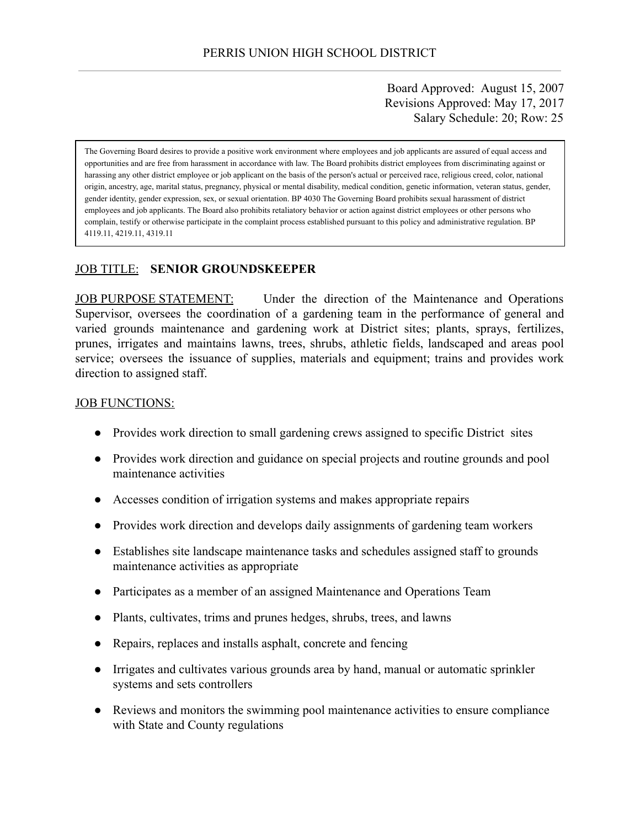Board Approved: August 15, 2007 Revisions Approved: May 17, 2017 Salary Schedule: 20; Row: 25

The Governing Board desires to provide a positive work environment where employees and job applicants are assured of equal access and opportunities and are free from harassment in accordance with law. The Board prohibits district employees from discriminating against or harassing any other district employee or job applicant on the basis of the person's actual or perceived race, religious creed, color, national origin, ancestry, age, marital status, pregnancy, physical or mental disability, medical condition, genetic information, veteran status, gender, gender identity, gender expression, sex, or sexual orientation. BP 4030 The Governing Board prohibits sexual harassment of district employees and job applicants. The Board also prohibits retaliatory behavior or action against district employees or other persons who complain, testify or otherwise participate in the complaint process established pursuant to this policy and administrative regulation. BP 4119.11, 4219.11, 4319.11

### JOB TITLE: **SENIOR GROUNDSKEEPER**

JOB PURPOSE STATEMENT: Under the direction of the Maintenance and Operations Supervisor, oversees the coordination of a gardening team in the performance of general and varied grounds maintenance and gardening work at District sites; plants, sprays, fertilizes, prunes, irrigates and maintains lawns, trees, shrubs, athletic fields, landscaped and areas pool service; oversees the issuance of supplies, materials and equipment; trains and provides work direction to assigned staff.

#### JOB FUNCTIONS:

- Provides work direction to small gardening crews assigned to specific District sites
- Provides work direction and guidance on special projects and routine grounds and pool maintenance activities
- Accesses condition of irrigation systems and makes appropriate repairs
- Provides work direction and develops daily assignments of gardening team workers
- Establishes site landscape maintenance tasks and schedules assigned staff to grounds maintenance activities as appropriate
- Participates as a member of an assigned Maintenance and Operations Team
- Plants, cultivates, trims and prunes hedges, shrubs, trees, and lawns
- Repairs, replaces and installs asphalt, concrete and fencing
- Irrigates and cultivates various grounds area by hand, manual or automatic sprinkler systems and sets controllers
- Reviews and monitors the swimming pool maintenance activities to ensure compliance with State and County regulations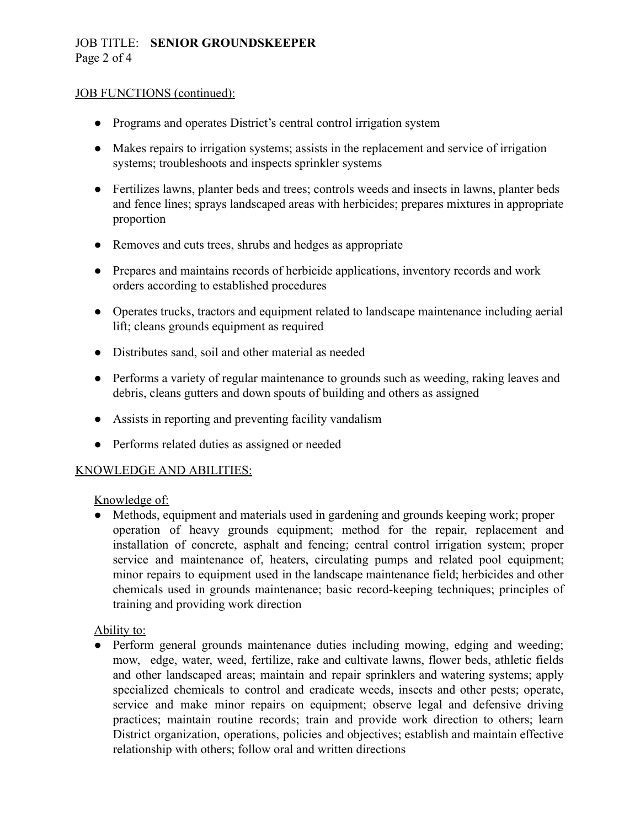# JOB TITLE: **SENIOR GROUNDSKEEPER** Page 2 of 4

### JOB FUNCTIONS (continued):

- Programs and operates District's central control irrigation system
- Makes repairs to irrigation systems; assists in the replacement and service of irrigation systems; troubleshoots and inspects sprinkler systems
- Fertilizes lawns, planter beds and trees; controls weeds and insects in lawns, planter beds and fence lines; sprays landscaped areas with herbicides; prepares mixtures in appropriate proportion
- Removes and cuts trees, shrubs and hedges as appropriate
- Prepares and maintains records of herbicide applications, inventory records and work orders according to established procedures
- Operates trucks, tractors and equipment related to landscape maintenance including aerial lift; cleans grounds equipment as required
- Distributes sand, soil and other material as needed
- Performs a variety of regular maintenance to grounds such as weeding, raking leaves and debris, cleans gutters and down spouts of building and others as assigned
- Assists in reporting and preventing facility vandalism
- Performs related duties as assigned or needed

### KNOWLEDGE AND ABILITIES:

### Knowledge of:

• Methods, equipment and materials used in gardening and grounds keeping work; proper operation of heavy grounds equipment; method for the repair, replacement and installation of concrete, asphalt and fencing; central control irrigation system; proper service and maintenance of, heaters, circulating pumps and related pool equipment; minor repairs to equipment used in the landscape maintenance field; herbicides and other chemicals used in grounds maintenance; basic record-keeping techniques; principles of training and providing work direction

### Ability to:

● Perform general grounds maintenance duties including mowing, edging and weeding; mow, edge, water, weed, fertilize, rake and cultivate lawns, flower beds, athletic fields and other landscaped areas; maintain and repair sprinklers and watering systems; apply specialized chemicals to control and eradicate weeds, insects and other pests; operate, service and make minor repairs on equipment; observe legal and defensive driving practices; maintain routine records; train and provide work direction to others; learn District organization, operations, policies and objectives; establish and maintain effective relationship with others; follow oral and written directions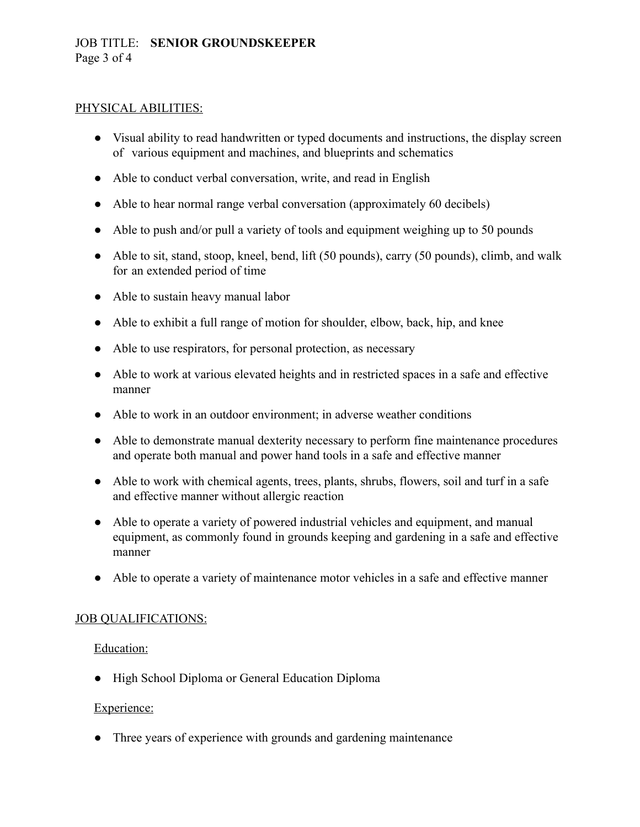### PHYSICAL ABILITIES:

- Visual ability to read handwritten or typed documents and instructions, the display screen of various equipment and machines, and blueprints and schematics
- Able to conduct verbal conversation, write, and read in English
- Able to hear normal range verbal conversation (approximately 60 decibels)
- Able to push and/or pull a variety of tools and equipment weighing up to 50 pounds
- Able to sit, stand, stoop, kneel, bend, lift (50 pounds), carry (50 pounds), climb, and walk for an extended period of time
- Able to sustain heavy manual labor
- Able to exhibit a full range of motion for shoulder, elbow, back, hip, and knee
- Able to use respirators, for personal protection, as necessary
- Able to work at various elevated heights and in restricted spaces in a safe and effective manner
- Able to work in an outdoor environment; in adverse weather conditions
- Able to demonstrate manual dexterity necessary to perform fine maintenance procedures and operate both manual and power hand tools in a safe and effective manner
- Able to work with chemical agents, trees, plants, shrubs, flowers, soil and turf in a safe and effective manner without allergic reaction
- Able to operate a variety of powered industrial vehicles and equipment, and manual equipment, as commonly found in grounds keeping and gardening in a safe and effective manner
- Able to operate a variety of maintenance motor vehicles in a safe and effective manner

### JOB QUALIFICATIONS:

### Education:

● High School Diploma or General Education Diploma

### Experience:

• Three years of experience with grounds and gardening maintenance